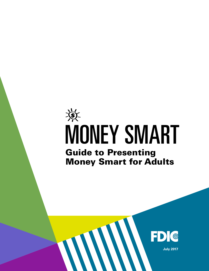# $\frac{1}{2}$ MONEY SMART Guide to Presenting Money Smart for Adults

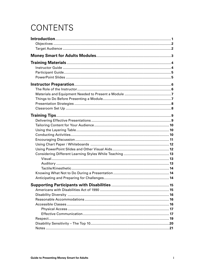## **CONTENTS**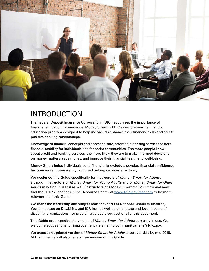<span id="page-2-0"></span>

## INTRODUCTION

The Federal Deposit Insurance Corporation (FDIC) recognizes the importance of financial education for everyone. Money Smart is FDIC's comprehensive financial education program designed to help individuals enhance their financial skills and create positive banking relationships.

Knowledge of financial concepts and access to safe, affordable banking services fosters financial stability for individuals and for entire communities. The more people know about credit and banking services, the more likely they are to make informed decisions on money matters, save money, and improve their financial health and well-being.

Money Smart helps individuals build financial knowledge, develop financial confidence, become more money-savvy, and use banking services effectively.

We designed this Guide specifically for instructors of *Money Smart for Adults*, although instructors of *Money Smart for Young Adults* and of *Money Smart for Older Adults* may find it useful as well. Instructors of *Money Smart for Young People* may find the FDIC's Teacher Online Resource Center at www.fdic.gov/teachers to be more relevant than this Guide.

We thank the leadership and subject matter experts at National Disability Institute, World Institute on Disability, and ICF, Inc., as well as other state and local leaders of disability organizations, for providing valuable suggestions for this document.

This Guide accompanies the version of *Money Smart for Adults* currently in use. We welcome suggestions for improvement via email to communityaffairs@fdic.gov.

We expect an updated version of *Money Smart for Adults* to be available by mid-2018. At that time we will also have a new version of this Guide.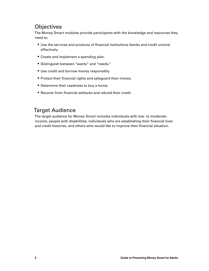#### <span id="page-3-0"></span>**Objectives**

The Money Smart modules provide participants with the knowledge and resources they need to:

- § Use the services and products of financial institutions (banks and credit unions) effectively.
- Create and implement a spending plan.
- Distinguish between "wants" and "needs."
- Use credit and borrow money responsibly.
- Protect their financial rights and safeguard their money.
- Determine their readiness to buy a home.
- Recover from financial setbacks and rebuild their credit.

#### Target Audience

The target audience for Money Smart includes individuals with low- to moderateincome, people with disabilities, individuals who are establishing their financial lives and credit histories, and others who would like to improve their financial situation.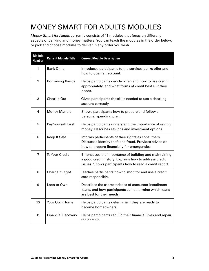## <span id="page-4-0"></span>MONEY SMART FOR ADULTS MODULES

*Money Smart for Adults* currently consists of 11 modules that focus on different aspects of banking and money matters. You can teach the modules in the order below, or pick and choose modules to deliver in any order you wish.

| <b>Module</b><br><b>Number</b> | <b>Current Module Title</b> | <b>Current Module Description</b>                                                                                                                                         |
|--------------------------------|-----------------------------|---------------------------------------------------------------------------------------------------------------------------------------------------------------------------|
| 1                              | Bank On It                  | Introduces participants to the services banks offer and<br>how to open an account.                                                                                        |
| $\overline{2}$                 | <b>Borrowing Basics</b>     | Helps participants decide when and how to use credit<br>appropriately, and what forms of credit best suit their<br>needs.                                                 |
| 3                              | <b>Check It Out</b>         | Gives participants the skills needed to use a checking<br>account correctly.                                                                                              |
| 4                              | <b>Money Matters</b>        | Shows participants how to prepare and follow a<br>personal spending plan.                                                                                                 |
| 5                              | Pay Yourself First          | Helps participants understand the importance of saving<br>money. Describes savings and investment options.                                                                |
| 6                              | Keep It Safe                | Informs participants of their rights as consumers.<br>Discusses identity theft and fraud. Provides advice on<br>how to prepare financially for emergencies.               |
| $\overline{7}$                 | <b>To Your Credit</b>       | Emphasizes the importance of building and maintaining<br>a good credit history. Explains how to address credit<br>issues. Shows participants how to read a credit report. |
| 8                              | <b>Charge It Right</b>      | Teaches participants how to shop for and use a credit<br>card responsibly.                                                                                                |
| 9                              | Loan to Own                 | Describes the characteristics of consumer installment<br>loans, and how participants can determine which loans<br>are best for their needs.                               |
| 10                             | Your Own Home               | Helps participants determine if they are ready to<br>become homeowners.                                                                                                   |
| 11                             | <b>Financial Recovery</b>   | Helps participants rebuild their financial lives and repair<br>their credit.                                                                                              |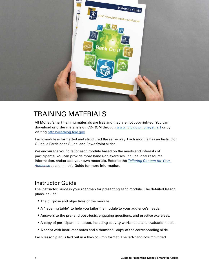<span id="page-5-0"></span>

## TRAINING MATERIALS

All Money Smart training materials are free and they are not copyrighted. You can download or order materials on CD-ROM through [www.fdic.gov/moneysmart](http://www.fdic.gov/moneysmart) or by visiting [https://catalog.fdic.gov.](https://catalog.fdic.gov)

Each module is formatted and structured the same way. Each module has an Instructor Guide, a Participant Guide, and PowerPoint slides.

We encourage you to tailor each module based on the needs and interests of participants. You can provide more hands-on exercises, include local resource information, and/or add your own materials. Refer to the *[Tailoring Content for Your](#page-11-1)  [Audience](#page-11-1)* section in this Guide for more information.

#### Instructor Guide

The Instructor Guide is your roadmap for presenting each module. The detailed lesson plans include:

- The purpose and objectives of the module.
- A "layering table" to help you tailor the module to your audience's needs.
- Answers to the pre- and post-tests, engaging questions, and practice exercises.
- A copy of participant handouts, including activity worksheets and evaluation tools.
- A script with instructor notes and a thumbnail copy of the corresponding slide.

Each lesson plan is laid out in a two-column format. The left-hand column, titled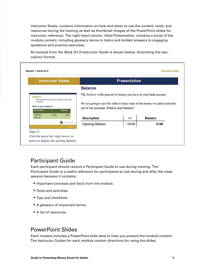<span id="page-6-0"></span>Instructor Notes, contains information on how and when to use the content, tools, and resources during the training as well as thumbnail images of the PowerPoint slides for instructor reference. The right-hand column, titled Presentation, contains a script of the module content, including glossary terms in italics and bolded answers to engaging questions and practice exercises.

An excerpt from the *Bank On It* Instructor Guide is shown below, illustrating the twocolumn format.

| <b>Instructor Notes</b>                                                                                                                            |                                               | <b>Presentation</b>                                                                                                                                                                                    |          |                |
|----------------------------------------------------------------------------------------------------------------------------------------------------|-----------------------------------------------|--------------------------------------------------------------------------------------------------------------------------------------------------------------------------------------------------------|----------|----------------|
|                                                                                                                                                    |                                               | <b>Balance</b>                                                                                                                                                                                         |          |                |
| <b>Balance</b><br>. The amount of money you have in your bank<br>account<br>What is your balance?<br>$+1-$<br><b>Balance</b><br><b>Description</b> |                                               | The <i>balance</i> is the amount of money you have in your bank account.<br>We are going to use this table to keep track of the money we add to and take<br>out of our accounts. What is your balance? |          |                |
| Opening<br>$+ $100$<br>Balance                                                                                                                     | \$100                                         | <b>Description</b>                                                                                                                                                                                     | $+/-$    | <b>Balance</b> |
|                                                                                                                                                    | <b>Commission Commission</b><br><b>DOUBLE</b> | <b>Opening Balance</b>                                                                                                                                                                                 | $+ $100$ | \$100          |

#### Participant Guide

Г

Each participant should receive a Participant Guide to use during training. The Participant Guide is a useful reference for participants to use during and after the class session because it contains:

- Important concepts and facts from the module.
- Tools and activities.
- Tips and checklists.
- A glossary of important terms.
- A list of resources.

#### PowerPoint Slides

Each module includes a PowerPoint slide deck to help you present the module content. The Instructor Guides for each module contain directions for using the slides.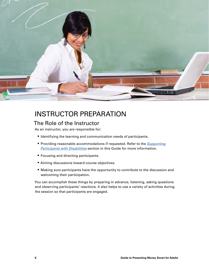<span id="page-7-0"></span>

## INSTRUCTOR PREPARATION

#### The Role of the Instructor

As an instructor, you are responsible for:

- Identifying the learning and communication needs of participants.
- § Providing reasonable accommodations if requested. Refer to the *[Supporting](#page-16-1)  [Participants with Disabilities](#page-16-1)* section in this Guide for more information.
- Focusing and directing participants.
- Aiming discussions toward course objectives.
- Making sure participants have the opportunity to contribute to the discussion and welcoming their participation.

You can accomplish these things by preparing in advance, listening, asking questions and observing participants' reactions. It also helps to use a variety of activities during the session so that participants are engaged.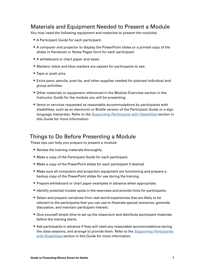#### <span id="page-8-0"></span>Materials and Equipment Needed to Present a Module

You may need the following equipment and materials to present the modules:

- A Participant Guide for each participant.
- A computer and projector to display the PowerPoint slides or a printed copy of the slides in Handouts or Notes Pages form for each participant.
- A whiteboard or chart paper and easel.
- Markers: black and blue markers are easiest for participants to see.
- Tape or push pins.
- Extra pens, pencils, post-its, and other supplies needed for planned individual and group activities.
- Other materials or equipment referenced in the Module Overview section in the Instructor Guide for the module you will be presenting.
- Items or services requested as reasonable accommodations by participants with disabilities, such as an electronic or Braille version of the Participant Guide or a sign language interpreter. Refer to the *[Supporting Participants with Disabilities](#page-16-1)* section in this Guide for more information.

#### Things to Do Before Presenting a Module

These tips can help you prepare to present a module:

- Review the training materials thoroughly.
- Make a copy of the Participant Guide for each participant.
- Make a copy of the PowerPoint slides for each participant if desired.
- Make sure all computers and projection equipment are functioning and prepare a backup copy of the PowerPoint slides for use during the training.
- Prepare whiteboard or chart paper examples in advance when appropriate.
- Identify potential trouble spots in the exercises and provide hints for participants.
- Select and prepare narratives from real-world experiences that are likely to be relevant to the participants that you can use to illustrate special scenarios, generate discussion, and maintain participant interest.
- Give yourself ample time to set up the classroom and distribute participant materials before the training starts.
- Ask participants in advance if they will need any reasonable accommodations during the class sessions, and arrange to provide them. Refer to the *[Supporting Participants](#page-16-1)  [with Disabilities](#page-16-1)* section in this Guide for more information.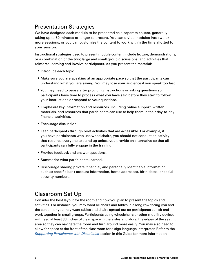#### <span id="page-9-0"></span>Presentation Strategies

We have designed each module to be presented as a separate course, generally taking up to 60 minutes or longer to present. You can divide modules into two or more sessions, or you can customize the content to work within the time allotted for your session.

Instructional strategies used to present module content include lecture, demonstrations, or a combination of the two; large and small group discussions; and activities that reinforce learning and involve participants. As you present the material:

- Introduce each topic.
- Make sure you are speaking at an appropriate pace so that the participants can understand what you are saying. You may lose your audience if you speak too fast.
- You may need to pause after providing instructions or asking questions so participants have time to process what you have said before they start to follow your instructions or respond to your questions.
- Emphasize key information and resources, including online support, written materials, and resources that participants can use to help them in their day-to-day financial activities.
- Encourage discussion.
- Lead participants through brief activities that are accessible. For example, if you have participants who use wheelchairs, you should not conduct an activity that requires everyone to stand up unless you provide an alternative so that all participants can fully engage in the training.
- Provide feedback and answer questions.
- Summarize what participants learned.
- **•** Discourage sharing private, financial, and personally identifiable information, such as specific bank account information, home addresses, birth dates, or social security numbers.

#### Classroom Set Up

Consider the best layout for the room and how you plan to present the topics and activities. For instance, you may want all chairs and tables in a long row facing you and the screen, or you may want tables and chairs spread out so participants can sit and work together in small groups. Participants using wheelchairs or other mobility devices will need at least 36 inches of clear space in the aisles and along the edges of the seating area so they can navigate the room and turn around more easily. You may also need to allow for space at the front of the classroom for a sign language interpreter. Refer to the *[Supporting Participants with Disabilities](#page-16-1)* section in this Guide for more information.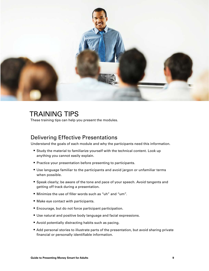<span id="page-10-0"></span>

## TRAINING TIPS

These training tips can help you present the modules.

#### Delivering Effective Presentations

Understand the goals of each module and why the participants need this information.

- Study the material to familiarize yourself with the technical content. Look up anything you cannot easily explain.
- Practice your presentation before presenting to participants.
- Use language familiar to the participants and avoid jargon or unfamiliar terms when possible.
- Speak clearly; be aware of the tone and pace of your speech. Avoid tangents and getting off track during a presentation.
- § Minimize the use of filler words such as "uh" and "um".
- Make eye contact with participants.
- Encourage, but do not force participant participation.
- Use natural and positive body language and facial expressions.
- Avoid potentially distracting habits such as pacing.
- Add personal stories to illustrate parts of the presentation, but avoid sharing private financial or personally identifiable information.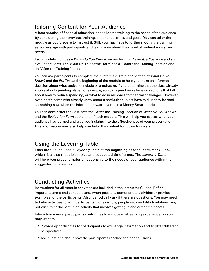#### <span id="page-11-1"></span><span id="page-11-0"></span>Tailoring Content for Your Audience

A best practice of financial education is to tailor the training to the needs of the audience by considering their previous training, experience, skills, and goals. You can tailor the module as you prepare to instruct it. Still, you may have to further modify the training as you engage with participants and learn more about their level of understanding and needs.

Each module includes a *What Do You Know?* survey form, a *Pre-Test*, a *Post-Test* and an *Evaluation Form*. The *What Do You Know?* form has a "Before the Training" section and an "After the Training" section.

You can ask participants to complete the "Before the Training" section of *What Do You Know?* and the *Pre-Test* at the beginning of the module to help you make an informed decision about what topics to include or emphasize. If you determine that the class already knows about spending plans, for example, you can spend more time on sections that talk about how to reduce spending, or what to do in response to financial challenges. However, even participants who already know about a particular subject have told us they learned something new when the information was covered in a Money Smart module.

You can administer the *Post-Test*, the "After the Training" section of *What Do You Know?* and the *Evaluation Form* at the end of each module. This will help you assess what your audience has learned and give you insights into the effectiveness of your presentation. This information may also help you tailor the content for future trainings.

#### Using the Layering Table

Each module includes a *Layering Table* at the beginning of each Instructor Guide, which lists that module's topics and suggested timeframes. The *Layering Table* will help you present material responsive to the needs of your audience within the suggested timeframes.

#### Conducting Activities

Instructions for all module activities are included in the Instructor Guides. Define important terms and concepts and, when possible, demonstrate activities or provide examples for the participants. Also, periodically ask if there are questions. You may need to tailor activities to your participants. For example, people with mobility limitations may not wish to participate in an activity that involves getting in and out of their seats.

Interaction among participants contributes to a successful learning experience, so you may want to:

- Provide opportunities for participants to exchange information and to offer different perspectives.
- Ask questions about how the participants reached their conclusions.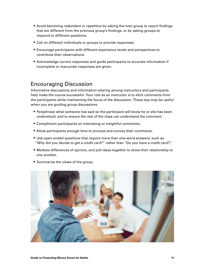- <span id="page-12-0"></span>■ Avoid becoming redundant or repetitive by asking the next group to report findings that are different from the previous group's findings, or by asking groups to respond to different questions.
- Call on different individuals or groups to provide responses.
- Encourage participants with different experience levels and perspectives to contribute their observations.
- Acknowledge correct responses and guide participants to accurate information if incomplete or inaccurate responses are given.

#### Encouraging Discussion

Informative discussions and information-sharing among instructors and participants help make the course successful. Your role as an instructor is to elicit comments from the participants while maintaining the focus of the discussion. These tips may be useful when you are guiding group discussions:

- Paraphrase what someone has said so the participant will know he or she has been understood, and to ensure the rest of the class can understand the comment.
- Compliment participants on interesting or insightful comments.
- Allow participants enough time to process and convey their comments.
- Use open-ended questions that require more than one-word answers, such as "Why did you decide to get a credit card?" rather than "Do you have a credit card?".
- Mediate differences of opinion, and pull ideas together to show their relationship to one another.
- Summarize the views of the group.

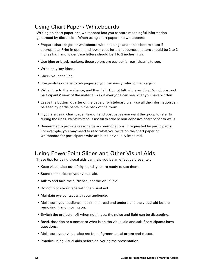#### <span id="page-13-0"></span>Using Chart Paper / Whiteboards

Writing on chart paper or a whiteboard lets you capture meaningful information generated by discussion. When using chart paper or a whiteboard:

- Prepare chart pages or whiteboard with headings and topics before class if appropriate. Print in upper and lower case letters: uppercase letters should be 2 to 3 inches high and lower case letters should be 1 to 2 inches high.
- Use blue or black markers: those colors are easiest for participants to see.
- Write only key ideas.
- Check your spelling.
- Use post-its or tape to tab pages so you can easily refer to them again.
- Write, turn to the audience, and then talk. Do not talk while writing. Do not obstruct participants' view of the material. Ask if everyone can see what you have written.
- Leave the bottom quarter of the page or whiteboard blank so all the information can be seen by participants in the back of the room.
- If you are using chart paper, tear off and post pages you want the group to refer to during the class. Painter's tape is useful to adhere non-adhesive chart paper to walls.
- Remember to provide reasonable accommodations, if requested by participants. For example, you may need to read what you write on the chart paper or whiteboard for participants who are blind or visually impaired.

#### Using PowerPoint Slides and Other Visual Aids

These tips for using visual aids can help you be an effective presenter:

- Keep visual aids out of sight until you are ready to use them.
- Stand to the side of your visual aid.
- Talk to and face the audience, not the visual aid.
- Do not block your face with the visual aid.
- Maintain eye contact with your audience.
- Make sure your audience has time to read and understand the visual aid before removing it and moving on.
- Switch the projector off when not in use; the noise and light can be distracting.
- Read, describe or summarize what is on the visual aid and ask if participants have questions.
- Make sure your visual aids are free of grammatical errors and clutter.
- Practice using visual aids before delivering the presentation.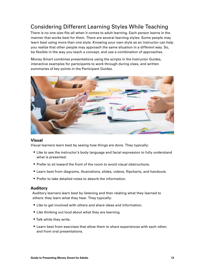#### <span id="page-14-0"></span>Considering Different Learning Styles While Teaching

There is no one-size-fits-all when it comes to adult learning. Each person learns in the manner that works best for them. There are several learning styles. Some people may learn best using more than one style. Knowing your own style as an instructor can help you realize that other people may approach the same situation in a different way. So, be flexible in the way you teach a concept, and use a combination of approaches.

Money Smart combines presentations using the scripts in the Instructor Guides, interactive examples for participants to work through during class, and written summaries of key points in the Participant Guides.



#### **Visual**

Visual learners learn best by seeing how things are done. They typically:

- Like to see the instructor's body language and facial expression to fully understand what is presented.
- Prefer to sit toward the front of the room to avoid visual obstructions.
- Learn best from diagrams, illustrations, slides, videos, flipcharts, and handouts.
- Prefer to take detailed notes to absorb the information.

#### **Auditory**

Auditory learners learn best by listening and then relating what they learned to others: they learn what they hear. They typically:

- Like to get involved with others and share ideas and information.
- Like thinking out loud about what they are learning.
- Talk while they write.
- Learn best from exercises that allow them to share experiences with each other; and from oral presentations.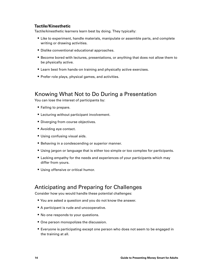#### <span id="page-15-0"></span>**Tactile/Kinesthetic**

Tactile/kinesthetic learners learn best by doing. They typically:

- Like to experiment, handle materials, manipulate or assemble parts, and complete writing or drawing activities.
- Dislike conventional educational approaches.
- Become bored with lectures, presentations, or anything that does not allow them to be physically active.
- Learn best from hands-on training and physically active exercises.
- Prefer role plays, physical games, and activities.

#### Knowing What Not to Do During a Presentation

You can lose the interest of participants by:

- Failing to prepare.
- Lecturing without participant involvement.
- Diverging from course objectives.
- Avoiding eye contact.
- Using confusing visual aids.
- Behaving in a condescending or superior manner.
- Using jargon or language that is either too simple or too complex for participants.
- Lacking empathy for the needs and experiences of your participants which may differ from yours.
- Using offensive or critical humor.

#### Anticipating and Preparing for Challenges

Consider how you would handle these potential challenges:

- You are asked a question and you do not know the answer.
- A participant is rude and uncooperative.
- No one responds to your questions.
- One person monopolizes the discussion.
- **Everyone is participating except one person who does not seem to be engaged in** the training at all.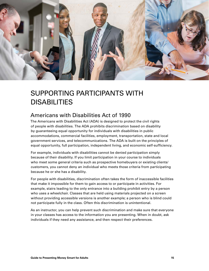<span id="page-16-0"></span>

## <span id="page-16-1"></span>SUPPORTING PARTICIPANTS WITH DISABILITIES

#### Americans with Disabilities Act of 1990

The Americans with Disabilities Act (ADA) is designed to protect the civil rights of people with disabilities. The ADA prohibits discrimination based on disability by guaranteeing equal opportunity for individuals with disabilities in public accommodations, commercial facilities, employment, transportation, state and local government services, and telecommunications. The ADA is built on the principles of equal opportunity, full participation, independent living, and economic self-sufficiency.

For example, individuals with disabilities cannot be denied participation simply because of their disability. If you limit participation in your course to individuals who meet some general criteria such as prospective homebuyers or existing clients/ customers, you cannot deny an individual who meets those criteria from participating because he or she has a disability.

For people with disabilities, discrimination often takes the form of inaccessible facilities that make it impossible for them to gain access to or participate in activities. For example, stairs leading to the only entrance into a building prohibit entry by a person who uses a wheelchair. Classes that are held using materials projected on a screen without providing accessible versions is another example; a person who is blind could not participate fully in the class. Often this discrimination is unintentional.

As an instructor, you can help prevent such discrimination and make sure that everyone in your classes has access to the information you are presenting. When in doubt, ask individuals if they need any assistance, and then respect their preferences.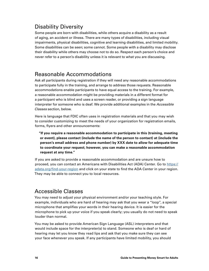#### <span id="page-17-0"></span>Disability Diversity

Some people are born with disabilities, while others acquire a disability as a result of aging, an accident or illness. There are many types of disabilities, including visual impairments, physical disabilities, cognitive and learning disabilities, and limited mobility. Some disabilities can be seen; some cannot. Some people with a disability may disclose their disability while others may choose not to do so. Respect each person's choice and never refer to a person's disability unless it is relevant to what you are discussing.

#### Reasonable Accommodations

Ask all participants during registration if they will need any reasonable accommodations to participate fully in the training, and arrange to address those requests. Reasonable accommodations enable participants to have equal access to the training. For example, a reasonable accommodation might be providing materials in a different format for a participant who is blind and uses a screen reader, or providing a sign language interpreter for someone who is deaf. We provide additional examples in the *Accessible Classes* section, below.

Here is language that FDIC often uses in registration materials and that you may wish to consider customizing to meet the needs of your organization for registration emails, forms, flyers and other announcements:

**"If you require a reasonable accommodation to participate in this (training, meeting or event), please contact (include the name of the person to contact) at (include the person's email address and phone number) by XXX date to allow for adequate time to coordinate your request; however, you can make a reasonable accommodation request at any time."**

If you are asked to provide a reasonable accommodation and are unsure how to proceed, you can contact an Americans with Disabilities Act (ADA) Center. Go to [https://](https://adata.org/find-your-region) [adata.org/find-your-region](https://adata.org/find-your-region) and click on your state to find the ADA Center in your region. They may be able to connect you to local resources.

#### Accessible Classes

You may need to adjust your physical environment and/or your teaching style. For example, individuals who are hard of hearing may ask that you wear a "loop", a special microphone that amplifies your words in their hearing device. It is easier for the microphone to pick up your voice if you speak clearly; you usually do not need to speak louder than normal.

You may be asked to provide American Sign Language (ASL) interpreters and that would include space for the interpreter(s) to stand. Someone who is deaf or hard of hearing may let you know they read lips and ask that you make sure they can see your face whenever you speak. If any participants have limited mobility, you should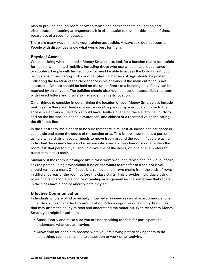<span id="page-18-0"></span>plan to provide enough room between tables and chairs for safe navigation and offer accessible seating arrangements. It is often easier to plan for this ahead of time, regardless of a specific request.

There are many ways to make your training accessible. Always ask; do not assume. People with disabilities know what works best for them.

#### **Physical Access**

When deciding where to hold a Money Smart class, look for a location that is accessible for people with limited mobility, including those who use wheelchairs, quad canes or scooters. People with limited mobility must be able to access the building without using steps or navigating curbs or other physical barriers. A sign should be posted indicating the location of the closest accessible entrance if the main entrance is not accessible. Classes should be held on the upper floors of a building only if they can be reached by an elevator. The building should also have at least one accessible restroom with raised letters and Braille signage identifying its location.

Other things to consider in determining the location of your Money Smart class include making sure there are clearly marked accessible parking spaces located close to the accessible entrance. Elevators should have Braille signage on the elevator call buttons and on the buttons inside the elevator cab, and chimes or a recorded voice indicating the different floors.

In the classroom itself, check to be sure that there is at least 36 inches of clear space in each aisle and along the edges of the seating area. This is how much space a person using a wheelchair or scooter needs to move freely around the room. If you are using individual desks and chairs and a person who uses a wheelchair or scooter enters the room, ask that person if you should move one of the desks, or if he or she prefers to transfer to a desk chair.

Similarly, if the room is arranged like a classroom with long tables and individual chairs, ask the person using a wheelchair if he or she wants to transfer to a chair or if you should remove a chair. Or, if possible, remove one or two chairs from the ends of rows in different areas of the room before the class starts. This provides individuals using wheelchairs or scooters a choice of seating arrangements— the same way that others in the class have a choice about where they sit.

#### **Effective Communication**

Individuals who are blind or visually impaired may need reasonable accommodations. Other disabilities that affect communication include cognitive or learning disabilities that may affect the ability to read and understand the materials. With respect to Money Smart, you might be asked to:

- Speak clearly and make sure you are not speaking too fast for participants to understand what you are saying.
- Allow time for people to process what you are saying before asking them to do something, such as respond to a question or work on an activity.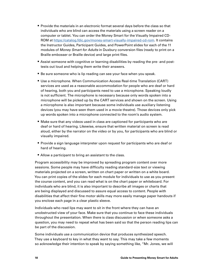- Provide the materials in an electronic format several days before the class so that individuals who are blind can access the materials using a screen reader on a computer or tablet. You can order the Money Smart for the Visually Impaired CD-ROM at<https://catalog.fdic.gov/money-smart-visually-impaired-cd-rom>. It contains the Instructor Guides, Participant Guides, and PowerPoint slides for each of the 11 modules of *Money Smart for Adults* in Duxbury conversion files (ready to print on a Braille embosser or Braille device) and large print files.
- Assist someone with cognitive or learning disabilities by reading the pre- and posttests out loud and helping them write their answers.
- Be sure someone who is lip reading can see your face when you speak.
- Use a microphone. When Communication Access Real-time Translation (CART) services are used as a reasonable accommodation for people who are deaf or hard of hearing, both you and participants need to use a microphone. Speaking loudly is not sufficient. The microphone is necessary because only words spoken into a microphone will be picked up by the CART services and shown on the screen. Using a microphone is also important because some individuals use auxiliary listening devices (you may have seen them used in a movie theatre). Those devices only pick up words spoken into a microphone connected to the room's audio system.
- Make sure that any videos used in class are captioned for participants who are deaf or hard of hearing. Likewise, ensure that written material on screen is read aloud, either by the narrator on the video or by you, for participants who are blind or visually impaired.
- Provide a sign language interpreter upon request for participants who are deaf or hard of hearing.
- Allow a participant to bring an assistant to the class.

Program accessibility may be improved by spreading program content over more sessions. Some people may have difficulty reading standard-size text or viewing materials projected on a screen, written on chart paper or written on a white board. You can print copies of the slides for each module for individuals to use as you present the course content, and you can read what is on the chart paper or whiteboard. For individuals who are blind, it is also important to describe all images or charts that are being displayed and discussed to assure equal access to content. People with disabilities that affect their fine motor skills may more easily manage paper handouts if you enclose each page in a clear plastic sleeve.

Individuals who read lips may want to sit in the front where they can have an unobstructed view of your face. Make sure that you continue to face these individuals throughout the presentation. When there is class discussion or when someone asks a question, you may need to repeat what has been said so that the person reading lips can be part of the discussion.

Some individuals use a communication device that produces synthesized speech. They use a keyboard to key in what they want to say. This may take a few moments so acknowledge their intention to speak by saying something like, "Mr. Jones, we will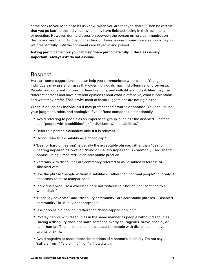<span id="page-20-0"></span>come back to you (or please let us know) when you are ready to share." Then be certain that you go back to the individual when they have finished keying in their comment or question. However, during discussion between the person using a communication device and another individual in the class or during a one-on-one conversation with you, wait respectfully until the comments are keyed in and played.

**Asking participants how you can help them participate fully in the class is very important. Always ask; do not assume.** 

#### Respect

Here are some suggestions that can help you communicate with respect. Younger individuals may prefer phrases that older individuals may find offensive, or vice-versa. People from different cultures, different regions, and with different disabilities may use different phrases and have different opinions about what is offensive, what is acceptable, and what they prefer. That is why most of these suggestions are not rigid rules.

When in doubt, ask individuals if they prefer specific words or phrases. You should use your judgment, relax, and apologize if you offend someone unintentionally.

- § Avoid referring to people as an impersonal group, such as "the disabled." Instead use "people with disabilities" or "individuals with disabilities."
- Refer to a person's disability only if it is relevant.
- Do not refer to a disability as a "handicap."
- "Deaf or hard of hearing" is usually the acceptable phrase, rather than "deaf or hearing impaired." However, "blind or visually impaired" is commonly used. In that phrase, using "impaired" is an acceptable practice.
- § Veterans with disabilities are commonly referred to as "disabled veterans" or "disabled vets."
- Use the phrase "people without disabilities" rather than "normal people", but only if necessary to make comparisons.
- Individuals who use a wheelchair are not "wheelchair-bound" or "confined to a wheelchair."
- §"Disability advocate" and "disability community" are acceptable phrases. "Disabled community" is usually not acceptable.
- Use "accessible parking" rather than "handicapped parking."
- Portray people with disabilities in the same manner as people without disabilities. Having a disability does not make someone overly courageous, brave, special, or superhuman. That implies that it is unusual for people with disabilities to have talents or skills.
- § Avoid negative or sensational descriptions of a person's disability. Do not say "suffers from," "a victim of," or "afflicted with."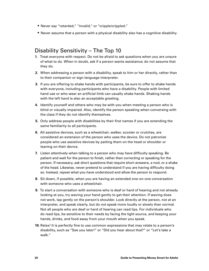- <span id="page-21-0"></span>■ Never say "retarded," "invalid," or "cripple/crippled."
- Never assume that a person with a physical disability also has a cognitive disability.

#### Disability Sensitivity – The Top 10

- **1.** Treat everyone with respect. Do not be afraid to ask questions when you are unsure of what to do. When in doubt, ask if a person wants assistance; do not assume that they do.
- **2.** When addressing a person with a disability, speak to him or her directly, rather than to their companion or sign language interpreter.
- **3.** If you are offering to shake hands with participants, be sure to offer to shake hands with everyone, including participants who have a disability. People with limited hand use or who wear an artificial limb can usually shake hands. Shaking hands with the left hand is also an acceptable greeting.
- **4.** Identify yourself and others who may be with you when meeting a person who is blind or visually impaired. Also, identify the person speaking when conversing with the class if they do not identify themselves.
- **5.** Only address people with disabilities by their first names if you are extending the same familiarity to all participants.
- **6.** All assistive devices, such as a wheelchair, walker, scooter or crutches, are considered an extension of the person who uses the device. Do not patronize people who use assistive devices by patting them on the head or shoulder or leaning on their device.
- **7.** Listen attentively when talking to a person who may have difficulty speaking. Be patient and wait for the person to finish, rather than correcting or speaking for the person. If necessary, ask short questions that require short answers, a nod, or a shake of the head. Likewise, never pretend to understand if you are having difficulty doing so. Instead, repeat what you have understood and allow the person to respond.
- **8.** Sit down, if possible, when you are having an extended one-on-one conversation with someone who uses a wheelchair.
- **9.** To start a conversation with someone who is deaf or hard of hearing and not already looking at you, try waving your hand gently to get their attention. If waving does not work, tap gently on the person's shoulder. Look directly at the person, not at an interpreter, and speak clearly, but do not speak more loudly or slowly than normal. Not all people who are deaf or hard of hearing can read lips. For individuals who do read lips, be sensitive to their needs by facing the light source, and keeping your hands, drinks, and food away from your mouth when you speak.
- **10.** Relax! It is perfectly fine to use common expressions that may relate to a person's disability, such as "See you later!" or "Did you hear about that?" or "Let's take a walk."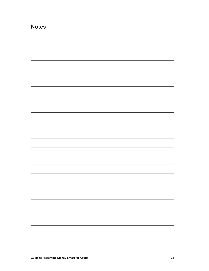<span id="page-22-0"></span>